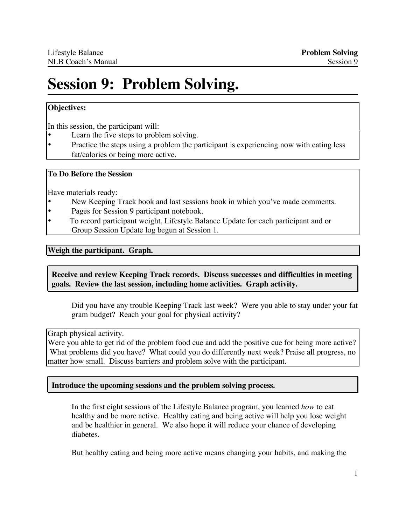# **Session 9: Problem Solving.**

## **Objectives:**

In this session, the participant will:

- Learn the five steps to problem solving.<br>• Practice the steps using a problem the para-
- Practice the steps using a problem the participant is experiencing now with eating less fat/calories or being more active.

#### **To Do Before the Session**

Have materials ready:

- New Keeping Track book and last sessions book in which you've made comments.
- Pages for Session 9 participant notebook.
- To record participant weight, Lifestyle Balance Update for each participant and or Group Session Update log begun at Session 1.

#### **Weigh the participant. Graph.**

## **Receive and review Keeping Track records. Discuss successes and difficulties in meeting goals. Review the last session, including home activities. Graph activity.**

Did you have any trouble Keeping Track last week? Were you able to stay under your fat gram budget? Reach your goal for physical activity?

Graph physical activity.

Were you able to get rid of the problem food cue and add the positive cue for being more active? What problems did you have? What could you do differently next week? Praise all progress, no matter how small. Discuss barriers and problem solve with the participant.

## **Introduce the upcoming sessions and the problem solving process.**

In the first eight sessions of the Lifestyle Balance program, you learned *how* to eat healthy and be more active. Healthy eating and being active will help you lose weight and be healthier in general. We also hope it will reduce your chance of developing diabetes.

But healthy eating and being more active means changing your habits, and making the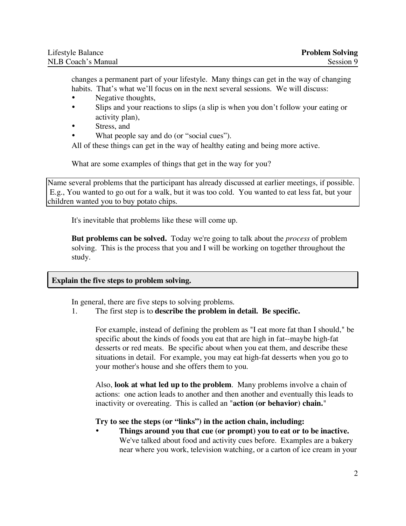changes a permanent part of your lifestyle. Many things can get in the way of changing habits. That's what we'll focus on in the next several sessions. We will discuss:

- Negative thoughts,
- Slips and your reactions to slips (a slip is when you don't follow your eating or activity plan),
- Stress, and
- What people say and do (or "social cues").

All of these things can get in the way of healthy eating and being more active.

What are some examples of things that get in the way for you?

Name several problems that the participant has already discussed at earlier meetings, if possible. E.g., You wanted to go out for a walk, but it was too cold. You wanted to eat less fat, but your children wanted you to buy potato chips.

It's inevitable that problems like these will come up.

**But problems can be solved.** Today we're going to talk about the *process* of problem solving. This is the process that you and I will be working on together throughout the study.

## **Explain the five steps to problem solving.**

In general, there are five steps to solving problems.

## 1. The first step is to **describe the problem in detail. Be specific.**

For example, instead of defining the problem as "I eat more fat than I should," be specific about the kinds of foods you eat that are high in fat--maybe high-fat desserts or red meats. Be specific about when you eat them, and describe these situations in detail. For example, you may eat high-fat desserts when you go to your mother's house and she offers them to you.

Also, **look at what led up to the problem**. Many problems involve a chain of actions: one action leads to another and then another and eventually this leads to inactivity or overeating. This is called an "**action (or behavior) chain.**"

## **Try to see the steps (or "links") in the action chain, including:**

• **Things around you that cue (or prompt) you to eat or to be inactive.** We've talked about food and activity cues before. Examples are a bakery near where you work, television watching, or a carton of ice cream in your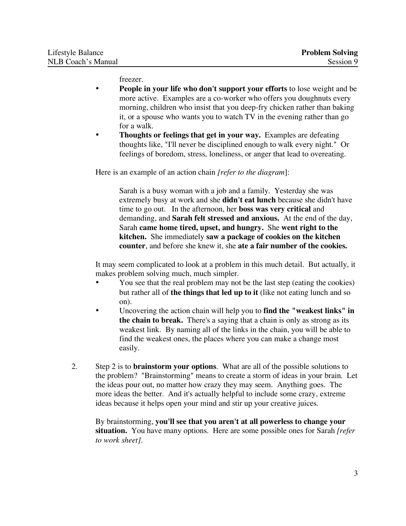freezer.

- **People in your life who don't support your efforts** to lose weight and be more active. Examples are a co-worker who offers you doughnuts every morning, children who insist that you deep-fry chicken rather than baking it, or a spouse who wants you to watch TV in the evening rather than go for a walk.
- **Thoughts or feelings that get in your way.** Examples are defeating thoughts like, "I'll never be disciplined enough to walk every night." Or feelings of boredom, stress, loneliness, or anger that lead to overeating.

Here is an example of an action chain *[refer to the diagram*]:

Sarah is a busy woman with a job and a family. Yesterday she was extremely busy at work and she **didn't eat lunch** because she didn't have time to go out. In the afternoon, her **boss was very critical** and demanding, and **Sarah felt stressed and anxious.** At the end of the day, Sarah **came home tired, upset, and hungry.** She **went right to the kitchen.** She immediately **saw a package of cookies on the kitchen counter**, and before she knew it, she **ate a fair number of the cookies.**

It may seem complicated to look at a problem in this much detail. But actually, it makes problem solving much, much simpler.

- You see that the real problem may not be the last step (eating the cookies) but rather all of **the things that led up to it** (like not eating lunch and so on).
- Uncovering the action chain will help you to **find the "weakest links" in the chain to break.** There's a saying that a chain is only as strong as its weakest link. By naming all of the links in the chain, you will be able to find the weakest ones, the places where you can make a change most easily.
- 2. Step 2 is to **brainstorm your options**. What are all of the possible solutions to the problem? "Brainstorming" means to create a storm of ideas in your brain. Let the ideas pour out, no matter how crazy they may seem. Anything goes. The more ideas the better. And it's actually helpful to include some crazy, extreme ideas because it helps open your mind and stir up your creative juices.

By brainstorming, **you'll see that you aren't at all powerless to change your situation.** You have many options. Here are some possible ones for Sarah *[refer to work sheet].*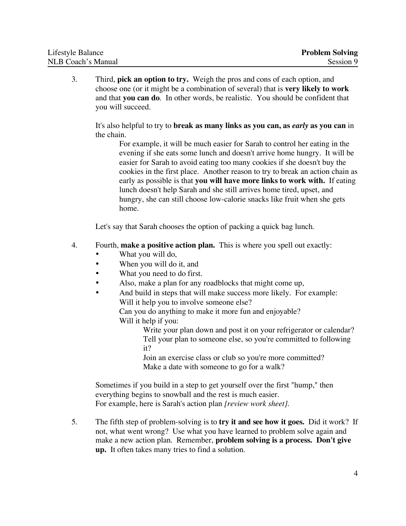| Lifestyle Balance         | <b>Problem Solving</b> |
|---------------------------|------------------------|
| <b>NLB Coach's Manual</b> | Session 9              |

3. Third, **pick an option to try.** Weigh the pros and cons of each option, and choose one (or it might be a combination of several) that is **very likely to work** and that **you can do**. In other words, be realistic. You should be confident that you will succeed.

It's also helpful to try to **break as many links as you can, as** *early* **as you can** in the chain.

For example, it will be much easier for Sarah to control her eating in the evening if she eats some lunch and doesn't arrive home hungry. It will be easier for Sarah to avoid eating too many cookies if she doesn't buy the cookies in the first place. Another reason to try to break an action chain as early as possible is that **you will have more links to work with.** If eating lunch doesn't help Sarah and she still arrives home tired, upset, and hungry, she can still choose low-calorie snacks like fruit when she gets home.

Let's say that Sarah chooses the option of packing a quick bag lunch.

- 4. Fourth, **make a positive action plan.** This is where you spell out exactly:
	- What you will do,
	- When you will do it, and
	- What you need to do first.
	- Also, make a plan for any roadblocks that might come up,
	- And build in steps that will make success more likely. For example: Will it help you to involve someone else?

Can you do anything to make it more fun and enjoyable? Will it help if you:

> Write your plan down and post it on your refrigerator or calendar? Tell your plan to someone else, so you're committed to following it?

Join an exercise class or club so you're more committed? Make a date with someone to go for a walk?

Sometimes if you build in a step to get yourself over the first "hump," then everything begins to snowball and the rest is much easier. For example, here is Sarah's action plan *[review work sheet]*.

5. The fifth step of problem-solving is to **try it and see how it goes.** Did it work? If not, what went wrong? Use what you have learned to problem solve again and make a new action plan. Remember, **problem solving is a process. Don't give up.** It often takes many tries to find a solution.